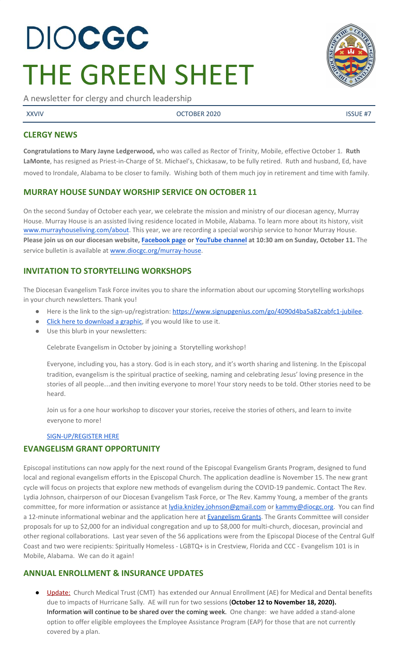# **DIOCGC** THE GREEN SHEET

A newsletter for clergy and church leadership

XXVIV OCTOBER 2020 ISSUE #7

# **CLERGY NEWS**

**Congratulations to Mary Jayne Ledgerwood,** who was called as Rector of Trinity, Mobile, effective October 1. **Ruth LaMonte**, has resigned as Priest-in-Charge of St. Michael's, Chickasaw, to be fully retired. Ruth and husband, Ed, have moved to Irondale, Alabama to be closer to family. Wishing both of them much joy in retirement and time with family.

# **MURRAY HOUSE SUNDAY WORSHIP SERVICE ON OCTOBER 11**

On the second Sunday of October each year, we celebrate the mission and ministry of our diocesan agency, Murray House. Murray House is an assisted living residence located in Mobile, Alabama. To learn more about its history, visit [www.murrayhouseliving.com/about.](http://www.murrayhouseliving.com/about) This year, we are recording a special worship service to honor Murray House. **Please join us on our diocesan website, [Facebook page](http://www.facebook.com/DioCGC) or [YouTube channel](https://youtube.com/c/EpiscopalDioceseoftheCentralGulfCoast) at 10:30 am on Sunday, October 11.** The service bulletin is available at [www.diocgc.org/murray-house.](http://www.diocgc.org/murray-house)

# **INVITATION TO STORYTELLING WORKSHOPS**

The Diocesan Evangelism Task Force invites you to share the information about our upcoming Storytelling workshops in your church newsletters. Thank you!

- Here is the link to the sign-up/registration: [https://www.signupgenius.com/go/4090d4ba5a82cabfc1-jubilee.](https://www.signupgenius.com/go/4090d4ba5a82cabfc1-jubilee)
- [Click here to download a graphic,](https://drive.google.com/file/d/1S2x4LsA8F9BRK5nBtIvRQxTnaGGV6xh4/view?usp=sharing) if you would like to use it.
- Use this blurb in your newsletters:

Celebrate Evangelism in October by joining a Storytelling workshop!

Everyone, including you, has a story. God is in each story, and it's worth sharing and listening. In the Episcopal tradition, evangelism is the spiritual practice of seeking, naming and celebrating Jesus' loving presence in the stories of all people…and then inviting everyone to more! Your story needs to be told. Other stories need to be heard.

Join us for a one hour workshop to discover your stories, receive the stories of others, and learn to invite everyone to more!

### [SIGN-UP/REGISTER HERE](https://www.signupgenius.com/go/4090d4ba5a82cabfc1-jubilee)

# **EVANGELISM GRANT OPPORTUNITY**

Episcopal institutions can now apply for the next round of the Episcopal Evangelism Grants Program, designed to fund local and regional evangelism efforts in the Episcopal Church. The application deadline is November 15. The new grant cycle will focus on projects that explore new methods of evangelism during the COVID-19 pandemic. Contact The Rev. Lydia Johnson, chairperson of our Diocesan Evangelism Task Force, or The Rev. Kammy Young, a member of the grants committee, for more information or assistance at [lydia.knizley.johnson@gmail.com](mailto:lydia.knizley.johnson@gmail.com) or [kammy@diocgc.org.](mailto:kammy@diocgc.org) You can find a 12-minute informational webinar and the application here at **Evangelism Grants**. The Grants Committee will consider proposals for up to \$2,000 for an individual congregation and up to \$8,000 for multi-church, diocesan, provincial and other regional collaborations. Last year seven of the 56 applications were from the Episcopal Diocese of the Central Gulf Coast and two were recipients: Spiritually Homeless - LGBTQ+ is in Crestview, Florida and CCC - Evangelism 101 is in Mobile, Alabama. We can do it again!

# **ANNUAL ENROLLMENT & INSURANCE UPDATES**

Update: Church Medical Trust (CMT) has extended our Annual Enrollment (AE) for Medical and Dental benefits due to impacts of Hurricane Sally. AE will run for two sessions **(October 12 to November 18, 2020).** Information will continue to be shared over the coming week. One change: we have added a stand-alone option to offer eligible employees the Employee Assistance Program (EAP) for those that are not currently covered by a plan.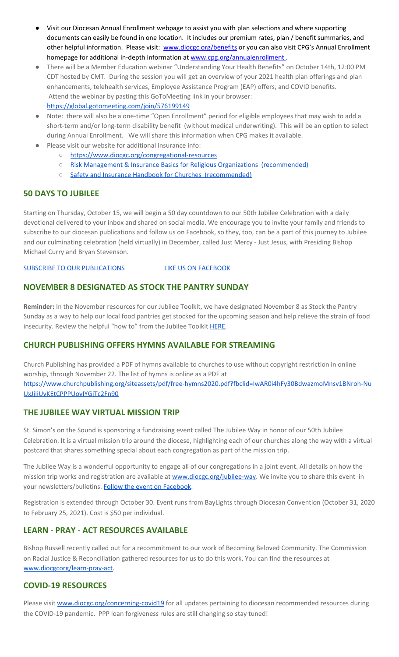- Visit our Diocesan Annual Enrollment webpage to assist you with plan selections and where supporting documents can easily be found in one location. It includes our premium rates, plan / benefit summaries, and other helpful information. Please visit: [www.diocgc.org/benefits](http://www.diocgc.org/benefits) or you can also visit CPG's Annual Enrollment homepage for additional in-depth information at [www.cpg.org/annualenrollment](http://www.cpg.org/annualenrollment).
- There will be a Member Education webinar "Understanding Your Health Benefits" on October 14th, 12:00 PM CDT hosted by CMT. During the session you will get an overview of your 2021 health plan offerings and plan enhancements, telehealth services, Employee Assistance Program (EAP) offers, and COVID benefits. Attend the webinar by pasting this GoToMeeting link in your browser: <https://global.gotomeeting.com/join/576199149>

- Note: there will also be a one-time "Open Enrollment" period for eligible employees that may wish to add a short-term and/or long-term disability benefit (without medical underwriting). This will be an option to select during Annual Enrollment. We will share this information when CPG makes it available.
- Please visit our website for additional insurance info:
	- <https://www.diocgc.org/congregational-resources>
	- Risk Management & Insurance Basics for Religious Organizations [\(recommended\)](https://2f23db9c-81c0-437f-88c1-0d3b99fdb03d.filesusr.com/ugd/ca270f_0fc945a39bad470191c4075c97602c08.pdf)
	- Safety and Insurance Handbook for Churches [\(recommended\)](https://2f23db9c-81c0-437f-88c1-0d3b99fdb03d.filesusr.com/ugd/4525a9_6b89020a60b040f49e2f7feb44b56873.pdf)

# **50 DAYS TO JUBILEE**

Starting on Thursday, October 15, we will begin a 50 day countdown to our 50th Jubilee Celebration with a daily devotional delivered to your inbox and shared on social media. We encourage you to invite your family and friends to subscribe to our diocesan publications and follow us on Facebook, so they, too, can be a part of this journey to Jubilee and our culminating celebration (held virtually) in December, called Just Mercy - Just Jesus, with Presiding Bishop Michael Curry and Bryan Stevenson.

#### SUBSCRIBE TO OUR [PUBLICATIONS](https://visitor.r20.constantcontact.com/manage/optin?v=001ytzJgXCdPi7CMeRPYjkgWQZ6IBKPGFLAYaQp2RMxHwsSoh5TDSs8PWv4y2LaJjSsaPHc_XfORFhYnRjCx5raGT4d9Xqx9dxSbYistihX978%3D) LIKE US ON [FACEBOOK](https://www.facebook.com/DioCGC)

# **NOVEMBER 8 DESIGNATED AS STOCK THE PANTRY SUNDAY**

**Reminder:** In the November resources for our Jubilee Toolkit, we have designated November 8 as Stock the Pantry Sunday as a way to help our local food pantries get stocked for the upcoming season and help relieve the strain of food insecurity. Review the helpful "how to" from the Jubilee Toolkit [HERE.](https://docs.google.com/document/d/1iilUSW5HMUq_24FCI8hcgiUnXwpgxwRNmL6czaHJTqQ/edit?usp=sharing)

# **CHURCH PUBLISHING OFFERS HYMNS AVAILABLE FOR STREAMING**

Church Publishing has provided a PDF of hymns available to churches to use without copyright restriction in online worship, through November 22. The list of hymns is online as a PDF a[t](https://www.churchpublishing.org/siteassets/pdf/free-hymns2020.pdf?fbclid=IwAR0i4hFy30BdwazmoMnsv1BNroh-NuUxJjIiUvKEtCPPPUovIYGjTc2Fn90) [https://www.churchpublishing.org/siteassets/pdf/free-hymns2020.pdf?fbclid=IwAR0i4hFy30BdwazmoMnsv1BNroh-Nu](https://www.churchpublishing.org/siteassets/pdf/free-hymns2020.pdf?fbclid=IwAR0i4hFy30BdwazmoMnsv1BNroh-NuUxJjIiUvKEtCPPPUovIYGjTc2Fn90) [UxJjIiUvKEtCPPPUovIYGjTc2Fn90](https://www.churchpublishing.org/siteassets/pdf/free-hymns2020.pdf?fbclid=IwAR0i4hFy30BdwazmoMnsv1BNroh-NuUxJjIiUvKEtCPPPUovIYGjTc2Fn90)

# **THE JUBILEE WAY VIRTUAL MISSION TRIP**

St. Simon's on the Sound is sponsoring a fundraising event called The Jubilee Way in honor of our 50th Jubilee Celebration. It is a virtual mission trip around the diocese, highlighting each of our churches along the way with a virtual postcard that shares something special about each congregation as part of the mission trip.

The Jubilee Way is a wonderful opportunity to engage all of our congregations in a joint event. All details on how the mission trip works and registration are available at [www.diocgc.org/jubilee-way](http://www.diocgc.org/jubilee-way). We invite you to share this event in your newsletters/bulletins. Follow the event on [Facebook](https://www.facebook.com/TheJubileeWay).

Registration is extended through October 30. Event runs from BayLights through Diocesan Convention (October 31, 2020 to February 25, 2021). Cost is \$50 per individual.

### **LEARN - PRAY - ACT RESOURCES AVAILABLE**

Bishop Russell recently called out for a recommitment to our work of Becoming Beloved Community. The Commission on Racial Justice & Reconciliation gathered resources for us to do this work. You can find the resources at [www.diocgcorg/learn-pray-act.](http://www.diocgcorg/learn-pray-act)

### **COVID-19 RESOURCES**

Please visit [www.diocgc.org/concerning-covid19](http://www.diocgc.org/concerning-covid19) for all updates pertaining to diocesan recommended resources during the COVID-19 pandemic. PPP loan forgiveness rules are still changing so stay tuned!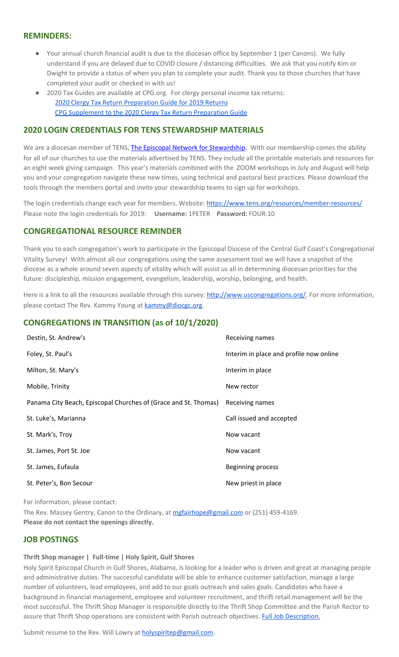#### **REMINDERS:**

- Your annual church financial audit is due to the diocesan office by September 1 (per Canons). We fully understand if you are delayed due to COVID closure / distancing difficulties. We ask that you notify Kim or Dwight to provide a status of when you plan to complete your audit. Thank you to those churches that have completed your audit or checked in with us!
- 2020 Tax Guides are available at CPG.org. For clergy personal income tax returns: 2020 Clergy Tax Return [Preparation](https://www.cpg.org/linkservid/D998735C-CE21-6189-EB815B133ECD868A/showMeta/0/?label=2020%20Clergy%20Tax%20Return%20Preparation%20Guide%20for%202019%20Tax%20Returns) Guide for 2019 Returns CPG [Supplement](https://www.cpg.org/linkservid/DA0301BC-D8CF-06D3-C4C6BAB106394432/showMeta/0/?label=Supplement%20to%20the%202020%20Clergy%20Tax%20Return%20Preparation%20Guide%20for%202019%20Returns) to the 2020 Clergy Tax Return Preparation Guide

#### **2020 LOGIN CREDENTIALS FOR TENS STEWARDSHIP MATERIALS**

We are a diocesan member of [T](http://r20.rs6.net/tn.jsp?f=0012pqt_t4bfTKnRF8Xmufb-M4Ry8JkNpVzuf-DfMr466n2fJlrEabEgWXavWDn2Hx3i5ph5cMsQu0KkvBM2IIao7IcazXgBLtGdZrXLuo4poO7i2eq_EiuExGDSC-wd1a3AjKcDRDPj18=&c=9_JBIUfw9Y9WIzA02dVBmW_Dc5eF3SbOEA5-vLB-MbLj0nQWfaMvNg==&ch=bNQQUmRhILUjCbu1RkHCQ0rqqsD1-RBYprcIQ3NuhLlaKPcsXS1TyQ==)ENS, The Episcopal Network for [Stewardship](http://r20.rs6.net/tn.jsp?f=0012pqt_t4bfTKnRF8Xmufb-M4Ry8JkNpVzuf-DfMr466n2fJlrEabEgWXavWDn2Hx3i5ph5cMsQu0KkvBM2IIao7IcazXgBLtGdZrXLuo4poO7i2eq_EiuExGDSC-wd1a3AjKcDRDPj18=&c=9_JBIUfw9Y9WIzA02dVBmW_Dc5eF3SbOEA5-vLB-MbLj0nQWfaMvNg==&ch=bNQQUmRhILUjCbu1RkHCQ0rqqsD1-RBYprcIQ3NuhLlaKPcsXS1TyQ==). With our membership comes the ability for all of our churches to use the materials advertised by TENS. They include all the printable materials and resources for an eight week giving campaign. This year's materials combined with the ZOOM workshops in July and August will help you and your congregation navigate these new times, using technical and pastoral best practices. Please download the tools through the members portal and invite your stewardship teams to sign up for workshops.

The login credentials change each year for members. Website: <https://www.tens.org/resources/member-resources/> Please note the login credentials for 2019: **Username:** 1PETER **Password:** FOUR:10

#### **CONGREGATIONAL RESOURCE REMINDER**

Thank you to each congregation's work to participate in the Episcopal Diocese of the Central Gulf Coast's Congregational Vitality Survey! With almost all our congregations using the same assessment tool we will have a snapshot of the diocese as a whole around seven aspects of vitality which will assist us all in determining diocesan priorities for the future: discipleship, mission engagement, evangelism, leadership, worship, belonging, and health.

Here is a link to all the resources available through this survey: [http://www.uscongregations.org/.](http://www.uscongregations.org/) For more information, please contact The Rev. Kammy Young at [kammy@diocgc.org](mailto:kammy@diocgc.org).

#### **CONGREGATIONS IN TRANSITION (as of 10/1/2020)**

| Destin, St. Andrew's                                            | Receiving names                         |
|-----------------------------------------------------------------|-----------------------------------------|
| Foley, St. Paul's                                               | Interim in place and profile now online |
| Milton, St. Mary's                                              | Interim in place                        |
| Mobile, Trinity                                                 | New rector                              |
| Panama City Beach, Episcopal Churches of (Grace and St. Thomas) | Receiving names                         |
| St. Luke's, Marianna                                            | Call issued and accepted                |
| St. Mark's, Troy                                                | Now vacant                              |
| St. James, Port St. Joe                                         | Now vacant                              |
| St. James, Eufaula                                              | <b>Beginning process</b>                |
| St. Peter's, Bon Secour                                         | New priest in place                     |

For information, please contact:

The Rev. Massey Gentry, Canon to the Ordinary, at [mgfairhope@gmail.com](mailto:mgfairhope@gmail.com) or (251) 459-4169. **Please do not contact the openings directly.**

### **JOB POSTINGS**

#### **Thrift Shop manager | Full-time | Holy Spirit, Gulf Shores**

Holy Spirit Episcopal Church in Gulf Shores, Alabama, is looking for a leader who is driven and great at managing people and administrative duties. The successful candidate will be able to enhance customer satisfaction, manage a large number of volunteers, lead employees, and add to our goals outreach and sales goals. Candidates who have a background in financial management, employee and volunteer recruitment, and thrift retail management will be the most successful. The Thrift Shop Manager is responsible directly to the Thrift Shop Committee and the Parish Rector to assure that Thrift Shop operations are consistent with Parish outreach objectives. Full Job [Description.](https://files.constantcontact.com/77805af7001/8c774d2a-c607-486c-9a1a-7409b2241a70.pdf)

Submit resume to the Rev. Will Lowry at [holyspiritep@gmail.com](mailto:holyspiritep@gmail.com).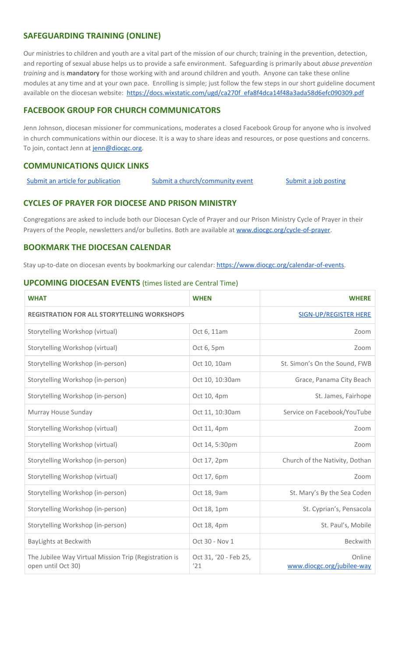### **SAFEGUARDING TRAINING (ONLINE)**

Our ministries to children and youth are a vital part of the mission of our church; training in the prevention, detection, and reporting of sexual abuse helps us to provide a safe environment. Safeguarding is primarily about *abuse prevention training* and is **mandatory** for those working with and around children and youth. Anyone can take these online modules at any time and at your own pace. Enrolling is simple; just follow the few steps in our short guideline document available on the diocesan website: [https://docs.wixstatic.com/ugd/ca270f\\_efa8f4dca14f48a3ada58d6efc090309.pdf](https://docs.wixstatic.com/ugd/ca270f_efa8f4dca14f48a3ada58d6efc090309.pdf)

### **FACEBOOK GROUP FOR CHURCH COMMUNICATORS**

Jenn Johnson, diocesan missioner for communications, moderates a closed Facebook Group for anyone who is involved in church communications within our diocese. It is a way to share ideas and resources, or pose questions and concerns. To join, contact Jenn at [jenn@diocgc.org.](mailto:jenn@diocgc.org)

#### **COMMUNICATIONS QUICK LINKS**

Submit an article for [publication](http://www.emailmeform.com/builder/form/XqOP984Ae60c8m6ynr) Submit a [church/community](http://www.emailmeform.com/builder/form/eOM4Bb6VTb78y20Wrapf8) event Submit a job [posting](https://www.emailmeform.com/builder/form/0cZqC653GdH24p01aWQDfUh)

#### **CYCLES OF PRAYER FOR DIOCESE AND PRISON MINISTRY**

Congregations are asked to include both our Diocesan Cycle of Prayer and our Prison Ministry Cycle of Prayer in their Prayers of the People, newsletters and/or bulletins. Both are available at [www.diocgc.org/cycle-of-prayer.](http://www.diocgc.org/cycle-of-prayer)

#### **BOOKMARK THE DIOCESAN CALENDAR**

Stay up-to-date on diocesan events by bookmarking our calendar: [https://www.diocgc.org/calendar-of-events.](https://www.diocgc.org/calendar-of-events)

#### **UPCOMING DIOCESAN EVENTS** (times listed are Central Time)

| <b>WHAT</b>                                                                 | <b>WHEN</b>                  | <b>WHERE</b>                         |  |
|-----------------------------------------------------------------------------|------------------------------|--------------------------------------|--|
| <b>REGISTRATION FOR ALL STORYTELLING WORKSHOPS</b>                          |                              | <b>SIGN-UP/REGISTER HERE</b>         |  |
| Storytelling Workshop (virtual)                                             | Oct 6, 11am                  | Zoom                                 |  |
| Storytelling Workshop (virtual)                                             | Oct 6, 5pm                   | Zoom                                 |  |
| Storytelling Workshop (in-person)                                           | Oct 10, 10am                 | St. Simon's On the Sound, FWB        |  |
| Storytelling Workshop (in-person)                                           | Oct 10, 10:30am              | Grace, Panama City Beach             |  |
| Storytelling Workshop (in-person)                                           | Oct 10, 4pm                  | St. James, Fairhope                  |  |
| Murray House Sunday                                                         | Oct 11, 10:30am              | Service on Facebook/YouTube          |  |
| Storytelling Workshop (virtual)                                             | Oct 11, 4pm                  | Zoom                                 |  |
| Storytelling Workshop (virtual)                                             | Oct 14, 5:30pm               | Zoom                                 |  |
| Storytelling Workshop (in-person)                                           | Oct 17, 2pm                  | Church of the Nativity, Dothan       |  |
| Storytelling Workshop (virtual)                                             | Oct 17, 6pm                  | Zoom                                 |  |
| Storytelling Workshop (in-person)                                           | Oct 18, 9am                  | St. Mary's By the Sea Coden          |  |
| Storytelling Workshop (in-person)                                           | Oct 18, 1pm                  | St. Cyprian's, Pensacola             |  |
| Storytelling Workshop (in-person)                                           | Oct 18, 4pm                  | St. Paul's, Mobile                   |  |
| <b>BayLights at Beckwith</b>                                                | Oct 30 - Nov 1               | Beckwith                             |  |
| The Jubilee Way Virtual Mission Trip (Registration is<br>open until Oct 30) | Oct 31, '20 - Feb 25,<br>'21 | Online<br>www.diocgc.org/jubilee-way |  |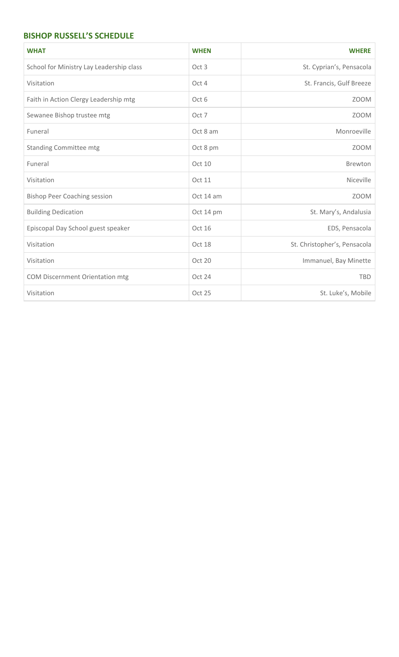## **BISHOP RUSSELL'S SCHEDULE**

| <b>WHAT</b>                              | <b>WHEN</b>   | <b>WHERE</b>                 |
|------------------------------------------|---------------|------------------------------|
| School for Ministry Lay Leadership class | Oct 3         | St. Cyprian's, Pensacola     |
| Visitation                               | Oct 4         | St. Francis, Gulf Breeze     |
| Faith in Action Clergy Leadership mtg    | Oct 6         | <b>ZOOM</b>                  |
| Sewanee Bishop trustee mtg               | Oct 7         | <b>ZOOM</b>                  |
| Funeral                                  | Oct 8 am      | Monroeville                  |
| <b>Standing Committee mtg</b>            | Oct 8 pm      | <b>ZOOM</b>                  |
| Funeral                                  | Oct 10        | Brewton                      |
| Visitation                               | <b>Oct 11</b> | Niceville                    |
| <b>Bishop Peer Coaching session</b>      | Oct 14 am     | <b>ZOOM</b>                  |
| <b>Building Dedication</b>               | Oct 14 pm     | St. Mary's, Andalusia        |
| Episcopal Day School guest speaker       | Oct 16        | EDS, Pensacola               |
| Visitation                               | Oct 18        | St. Christopher's, Pensacola |
| Visitation                               | Oct 20        | Immanuel, Bay Minette        |
| COM Discernment Orientation mtg          | Oct 24        | <b>TBD</b>                   |
| Visitation                               | Oct 25        | St. Luke's, Mobile           |